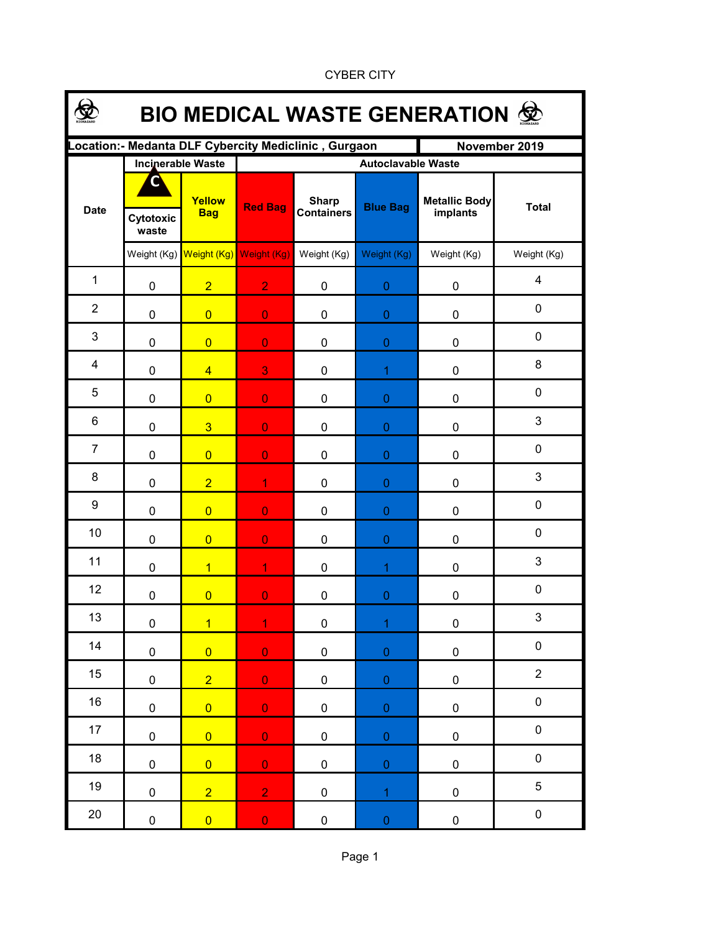| <b>BIO MEDICAL WASTE GENERATION ©</b> |                    |                          |                                     |                                                      |                  |                                  |              |  |  |  |  |
|---------------------------------------|--------------------|--------------------------|-------------------------------------|------------------------------------------------------|------------------|----------------------------------|--------------|--|--|--|--|
|                                       |                    |                          |                                     | Location:- Medanta DLF Cybercity Mediclinic, Gurgaon |                  | November 2019                    |              |  |  |  |  |
|                                       |                    | <b>Incinerable Waste</b> | <b>Autoclavable Waste</b>           |                                                      |                  |                                  |              |  |  |  |  |
| <b>Date</b>                           | Cytotoxic<br>waste | Yellow<br><b>Bag</b>     | <b>Red Bag</b>                      | <b>Sharp</b><br><b>Containers</b>                    | <b>Blue Bag</b>  | <b>Metallic Body</b><br>implants | <b>Total</b> |  |  |  |  |
|                                       |                    |                          | Weight (Kg) Weight (Kg) Weight (Kg) | Weight (Kg)                                          | Weight (Kg)      | Weight (Kg)                      | Weight (Kg)  |  |  |  |  |
| $\mathbf{1}$                          | 0                  | $\overline{2}$           | 2 <sup>1</sup>                      | $\mathbf 0$                                          | $\boldsymbol{0}$ | $\pmb{0}$                        | 4            |  |  |  |  |
| $\overline{2}$                        | 0                  | $\overline{0}$           | $\mathbf{O}$                        | 0                                                    | $\boldsymbol{0}$ | 0                                | 0            |  |  |  |  |
| $\mathfrak{B}$                        | 0                  | $\overline{0}$           | $\overline{0}$                      | 0                                                    | $\bf 0$          | 0                                | 0            |  |  |  |  |
| 4                                     | 0                  | $\overline{4}$           | 3                                   | 0                                                    | 1                | 0                                | 8            |  |  |  |  |
| 5                                     | 0                  | $\overline{0}$           | $\mathbf{O}$                        | 0                                                    | $\bf 0$          | $\mathbf 0$                      | 0            |  |  |  |  |
| 6                                     | 0                  | $\overline{3}$           | $\mathbf{O}$                        | 0                                                    | $\mathbf{0}$     | 0                                | 3            |  |  |  |  |
| $\overline{7}$                        | 0                  | $\overline{0}$           | $\overline{0}$                      | 0                                                    | $\pmb{0}$        | 0                                | 0            |  |  |  |  |
| 8                                     | 0                  | $\overline{2}$           | $\mathbf{1}$                        | 0                                                    | $\boldsymbol{0}$ | 0                                | $\mathbf{3}$ |  |  |  |  |
| $\boldsymbol{9}$                      | 0                  | $\overline{0}$           | $\overline{0}$                      | 0                                                    | $\boldsymbol{0}$ | 0                                | $\mathbf 0$  |  |  |  |  |
| 10                                    | 0                  | $\overline{0}$           | $\overline{0}$                      | 0                                                    | $\boldsymbol{0}$ | 0                                | $\mathbf 0$  |  |  |  |  |
| 11                                    | 0                  | $\overline{1}$           | $\overline{1}$                      | 0                                                    | $\overline{1}$   | 0                                | 3            |  |  |  |  |
| 12                                    | 0                  | $\overline{0}$           | $\overline{0}$                      | 0                                                    | $\boldsymbol{0}$ | 0                                | $\mathbf 0$  |  |  |  |  |
| 13                                    | $\pmb{0}$          | $\overline{1}$           | $\overline{1}$                      | 0                                                    | $\mathbf{1}$     | $\pmb{0}$                        | 3            |  |  |  |  |
| 14                                    | $\pmb{0}$          | $\overline{0}$           | $\mathbf 0$                         | $\pmb{0}$                                            | $\pmb{0}$        | $\pmb{0}$                        | $\pmb{0}$    |  |  |  |  |
| 15                                    | $\pmb{0}$          | $\overline{2}$           | $\overline{0}$                      | $\pmb{0}$                                            | $\mathbf 0$      | $\pmb{0}$                        | $\mathbf 2$  |  |  |  |  |
| 16                                    | 0                  | $\overline{0}$           | $\mathbf 0$                         | $\pmb{0}$                                            | $\pmb{0}$        | $\pmb{0}$                        | $\pmb{0}$    |  |  |  |  |
| 17                                    | $\pmb{0}$          | $\overline{0}$           | $\mathbf 0$                         | $\pmb{0}$                                            | $\pmb{0}$        | $\pmb{0}$                        | $\pmb{0}$    |  |  |  |  |
| 18                                    | $\pmb{0}$          | $\overline{0}$           | $\mathbf 0$                         | $\pmb{0}$                                            | $\mathbf 0$      | $\pmb{0}$                        | $\pmb{0}$    |  |  |  |  |
| 19                                    | $\pmb{0}$          | $\overline{2}$           | $\overline{2}$                      | $\pmb{0}$                                            | $\overline{1}$   | $\pmb{0}$                        | 5            |  |  |  |  |
| 20                                    | 0                  | $\overline{0}$           | $\mathbf 0$                         | $\pmb{0}$                                            | $\boldsymbol{0}$ | $\pmb{0}$                        | $\pmb{0}$    |  |  |  |  |

CYBER CITY